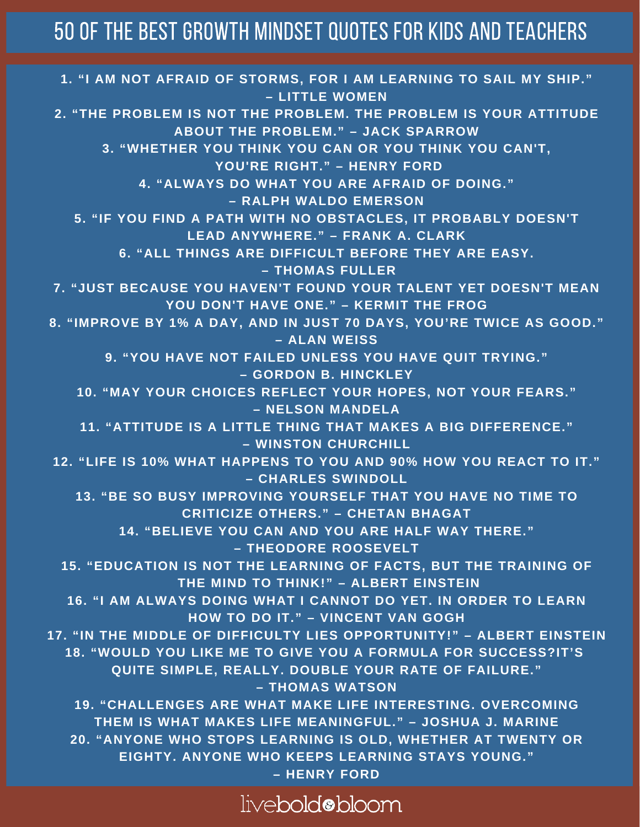## 50 Of The Best Growth Mindset Quotes For Kids And Teachers

**1. "I AM NOT AFRAID OF STORMS, FOR I AM LEARNING TO SAIL MY SHIP." – LITTLE WOMEN 2. "THE PROBLEM IS NOT THE PROBLEM. THE PROBLEM IS YOUR ATTITUDE ABOUT THE PROBLEM." – JACK SPARROW 3. "WHETHER YOU THINK YOU CAN OR YOU THINK YOU CAN'T, YOU'RE RIGHT." – HENRY FORD 4. "ALWAYS DO WHAT YOU ARE AFRAID OF DOING." – RALPH WALDO EMERSON 5. "IF YOU FIND A PATH WITH NO OBSTACLES, IT PROBABLY DOESN'T LEAD ANYWHERE." – FRANK A. CLARK 6. "ALL THINGS ARE DIFFICULT BEFORE THEY ARE EASY. – THOMAS FULLER 7. "JUST BECAUSE YOU HAVEN'T FOUND YOUR TALENT YET DOESN'T MEAN YOU DON'T HAVE ONE." – KERMIT THE FROG 8. "IMPROVE BY 1% A DAY, AND IN JUST 70 DAYS, YOU'RE TWICE AS GOOD." – ALAN WEISS 9. "YOU HAVE NOT FAILED UNLESS YOU HAVE QUIT TRYING." – GORDON B. HINCKLEY 10. "MAY YOUR CHOICES REFLECT YOUR HOPES, NOT YOUR FEARS." – NELSON MANDELA 11. "ATTITUDE IS A LITTLE THING THAT MAKES A BIG DIFFERENCE." – WINSTON CHURCHILL 12. "LIFE IS 10% WHAT HAPPENS TO YOU AND 90% HOW YOU REACT TO IT." – CHARLES SWINDOLL 13. "BE SO BUSY IMPROVING YOURSELF THAT YOU HAVE NO TIME TO CRITICIZE OTHERS." – CHETAN BHAGAT 14. "BELIEVE YOU CAN AND YOU ARE HALF WAY THERE." – THEODORE ROOSEVELT 15. "EDUCATION IS NOT THE LEARNING OF FACTS, BUT THE TRAINING OF THE MIND TO THINK!" – ALBERT EINSTEIN 16. "I AM ALWAYS DOING WHAT I CANNOT DO YET. IN ORDER TO LEARN HOW TO DO IT." – VINCENT VAN GOGH 17. "IN THE MIDDLE OF DIFFICULTY LIES OPPORTUNITY!" – ALBERT EINSTEIN 18. "WOULD YOU LIKE ME TO GIVE YOU A FORMULA FOR SUCCESS?IT'S QUITE SIMPLE, REALLY. DOUBLE YOUR RATE OF FAILURE." – THOMAS WATSON 19. "CHALLENGES ARE WHAT MAKE LIFE INTERESTING. OVERCOMING THEM IS WHAT MAKES LIFE MEANINGFUL." – JOSHUA J. MARINE 20. "ANYONE WHO STOPS LEARNING IS OLD, WHETHER AT TWENTY OR EIGHTY. ANYONE WHO KEEPS LEARNING STAYS YOUNG." – HENRY FORD**

livebold@bloom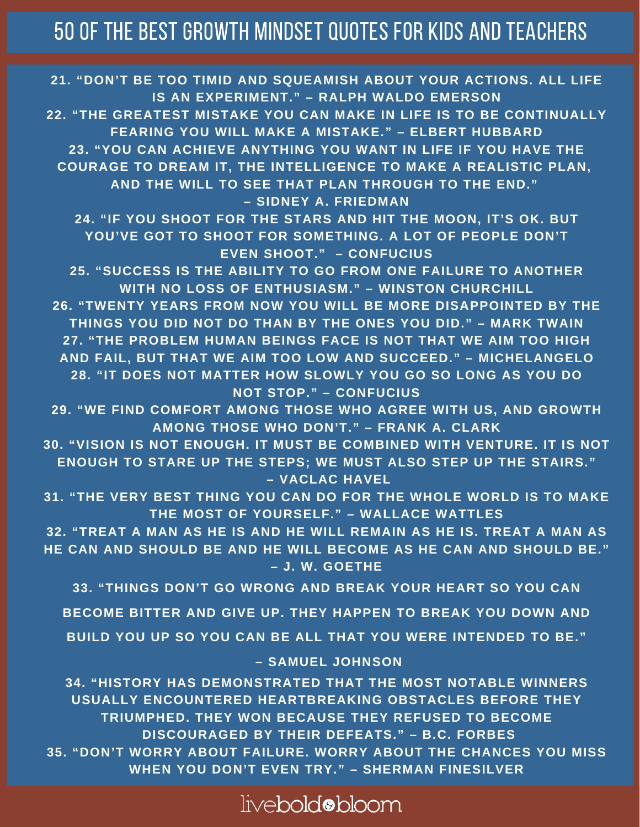## 50 Of The Best Growth Mindset Quotes For Kids And Teachers

**21. "DON'T BE TOO TIMID AND SQUEAMISH ABOUT YOUR ACTIONS. ALL LIFE IS AN EXPERIMENT." – RALPH WALDO EMERSON 22. "THE GREATEST MISTAKE YOU CAN MAKE IN LIFE IS TO BE CONTINUALLY FEARING YOU WILL MAKE A MISTAKE." – ELBERT HUBBARD 23. "YOU CAN ACHIEVE ANYTHING YOU WANT IN LIFE IF YOU HAVE THE COURAGE TO DREAM IT, THE INTELLIGENCE TO MAKE A REALISTIC PLAN, AND THE WILL TO SEE THAT PLAN THROUGH TO THE END." – SIDNEY A. FRIEDMAN 24. "IF YOU SHOOT FOR THE STARS AND HIT THE MOON, IT'S OK. BUT YOU'VE GOT TO SHOOT FOR SOMETHING. A LOT OF PEOPLE DON'T EVEN SHOOT." – CONFUCIUS 25. "SUCCESS IS THE ABILITY TO GO FROM ONE FAILURE TO ANOTHER WITH NO LOSS OF ENTHUSIASM." – WINSTON CHURCHILL 26. "TWENTY YEARS FROM NOW YOU WILL BE MORE DISAPPOINTED BY THE THINGS YOU DID NOT DO THAN BY THE ONES YOU DID." – MARK TWAIN 27. "THE PROBLEM HUMAN BEINGS FACE IS NOT THAT WE AIM TOO HIGH AND FAIL, BUT THAT WE AIM TOO LOW AND SUCCEED." – MICHELANGELO 28. "IT DOES NOT MATTER HOW SLOWLY YOU GO SO LONG AS YOU DO NOT STOP." – CONFUCIUS 29. "WE FIND COMFORT AMONG THOSE WHO AGREE WITH US, AND GROWTH AMONG THOSE WHO DON'T." – FRANK A. CLARK 30. "VISION IS NOT ENOUGH. IT MUST BE COMBINED WITH VENTURE. IT IS NOT ENOUGH TO STARE UP THE STEPS; WE MUST ALSO STEP UP THE STAIRS."**

**– VACLAC HAVEL**

**31. "THE VERY BEST THING YOU CAN DO FOR THE WHOLE WORLD IS TO MAKE THE MOST OF YOURSELF." – WALLACE WATTLES**

**32. "TREAT A MAN AS HE IS AND HE WILL REMAIN AS HE IS. TREAT A MAN AS HE CAN AND SHOULD BE AND HE WILL BECOME AS HE CAN AND SHOULD BE." – J. W. GOETHE**

**33. "THINGS DON'T GO WRONG AND BREAK YOUR HEART SO YOU CAN**

**BECOME BITTER AND GIVE UP. THEY HAPPEN TO BREAK YOU DOWN AND**

**BUILD YOU UP SO YOU CAN BE ALL THAT YOU WERE INTENDED TO BE."**

**– SAMUEL JOHNSON**

**34. "HISTORY HAS DEMONSTRATED THAT THE MOST NOTABLE WINNERS USUALLY ENCOUNTERED HEARTBREAKING OBSTACLES BEFORE THEY TRIUMPHED. THEY WON BECAUSE THEY REFUSED TO BECOME DISCOURAGED BY THEIR DEFEATS." – B.C. FORBES 35. "DON'T WORRY ABOUT FAILURE. WORRY ABOUT THE CHANCES YOU MISS WHEN YOU DON'T EVEN TRY." – SHERMAN FINESILVER**

## livebold@bloom